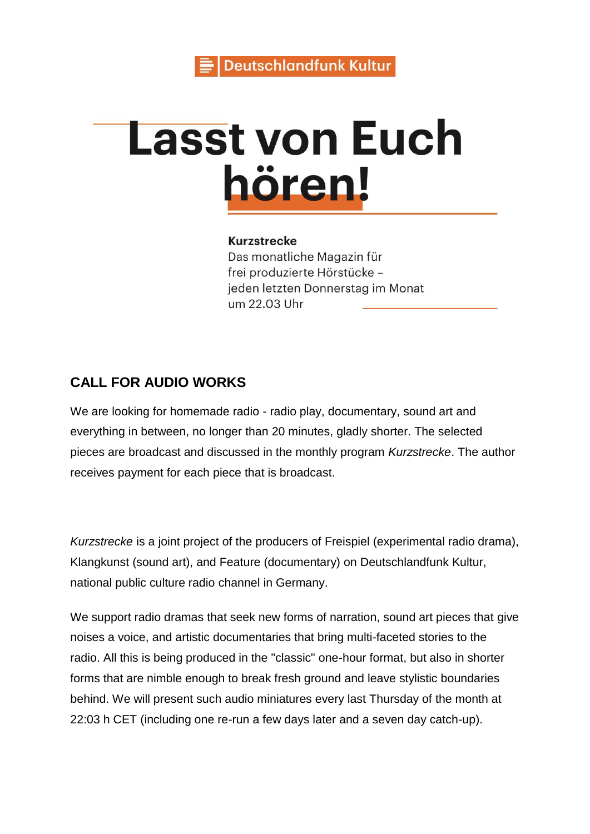

# **Lasst von Euch** hören!

#### **Kurzstrecke**

Das monatliche Magazin für frei produzierte Hörstücke jeden letzten Donnerstag im Monat um 22.03 Uhr

## **CALL FOR AUDIO WORKS**

We are looking for homemade radio - radio play, documentary, sound art and everything in between, no longer than 20 minutes, gladly shorter. The selected pieces are broadcast and discussed in the monthly program *Kurzstrecke*. The author receives payment for each piece that is broadcast.

*Kurzstrecke* is a joint project of the producers of Freispiel (experimental radio drama), Klangkunst (sound art), and Feature (documentary) on Deutschlandfunk Kultur, national public culture radio channel in Germany.

We support radio dramas that seek new forms of narration, sound art pieces that give noises a voice, and artistic documentaries that bring multi-faceted stories to the radio. All this is being produced in the "classic" one-hour format, but also in shorter forms that are nimble enough to break fresh ground and leave stylistic boundaries behind. We will present such audio miniatures every last Thursday of the month at 22:03 h CET (including one re-run a few days later and a seven day catch-up).